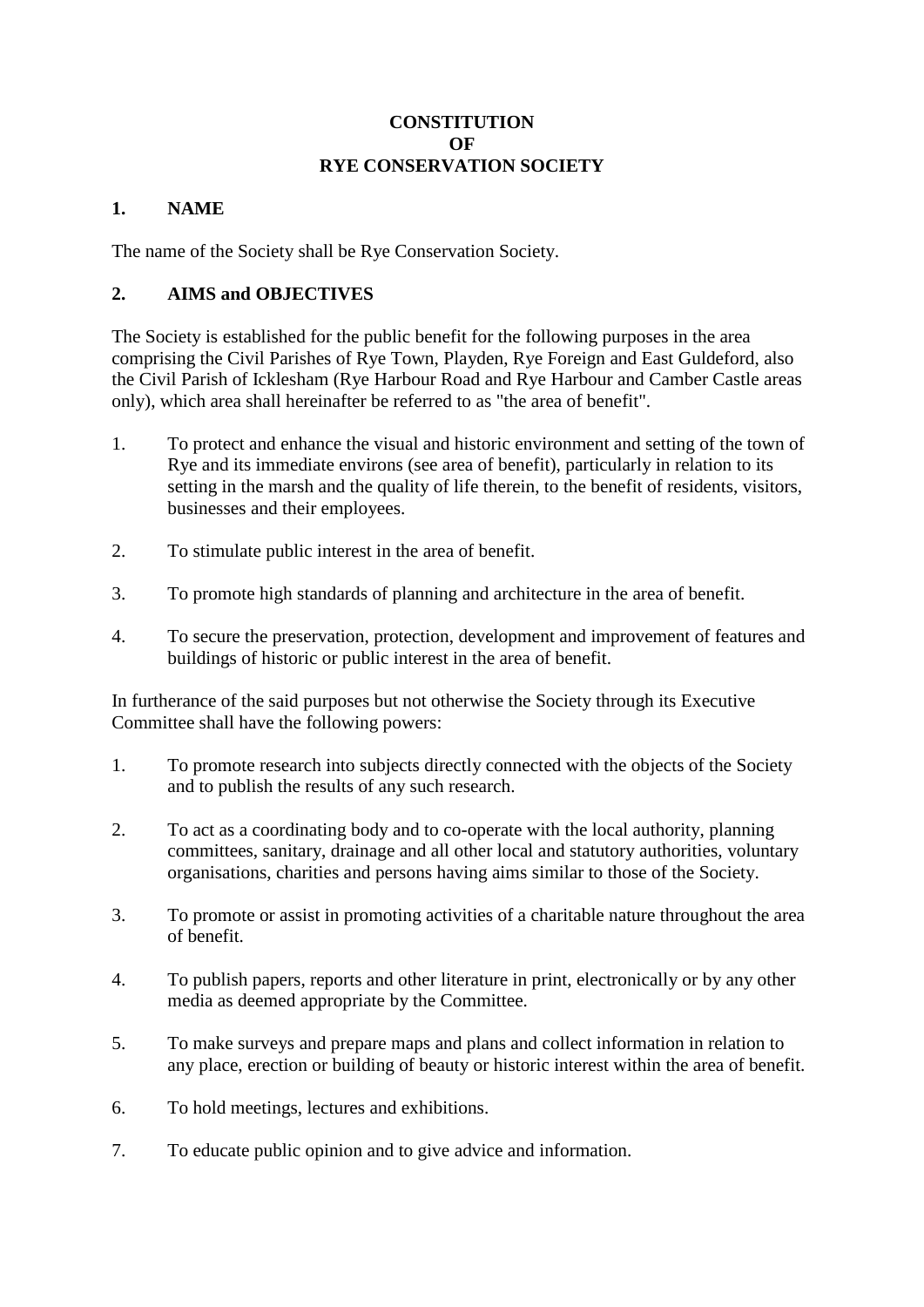#### **CONSTITUTION OF RYE CONSERVATION SOCIETY**

### **1. NAME**

The name of the Society shall be Rye Conservation Society.

### **2. AIMS and OBJECTIVES**

The Society is established for the public benefit for the following purposes in the area comprising the Civil Parishes of Rye Town, Playden, Rye Foreign and East Guldeford, also the Civil Parish of Icklesham (Rye Harbour Road and Rye Harbour and Camber Castle areas only), which area shall hereinafter be referred to as "the area of benefit".

- 1. To protect and enhance the visual and historic environment and setting of the town of Rye and its immediate environs (see area of benefit), particularly in relation to its setting in the marsh and the quality of life therein, to the benefit of residents, visitors, businesses and their employees.
- 2. To stimulate public interest in the area of benefit.
- 3. To promote high standards of planning and architecture in the area of benefit.
- 4. To secure the preservation, protection, development and improvement of features and buildings of historic or public interest in the area of benefit.

In furtherance of the said purposes but not otherwise the Society through its Executive Committee shall have the following powers:

- 1. To promote research into subjects directly connected with the objects of the Society and to publish the results of any such research.
- 2. To act as a coordinating body and to co-operate with the local authority, planning committees, sanitary, drainage and all other local and statutory authorities, voluntary organisations, charities and persons having aims similar to those of the Society.
- 3. To promote or assist in promoting activities of a charitable nature throughout the area of benefit.
- 4. To publish papers, reports and other literature in print, electronically or by any other media as deemed appropriate by the Committee.
- 5. To make surveys and prepare maps and plans and collect information in relation to any place, erection or building of beauty or historic interest within the area of benefit.
- 6. To hold meetings, lectures and exhibitions.
- 7. To educate public opinion and to give advice and information.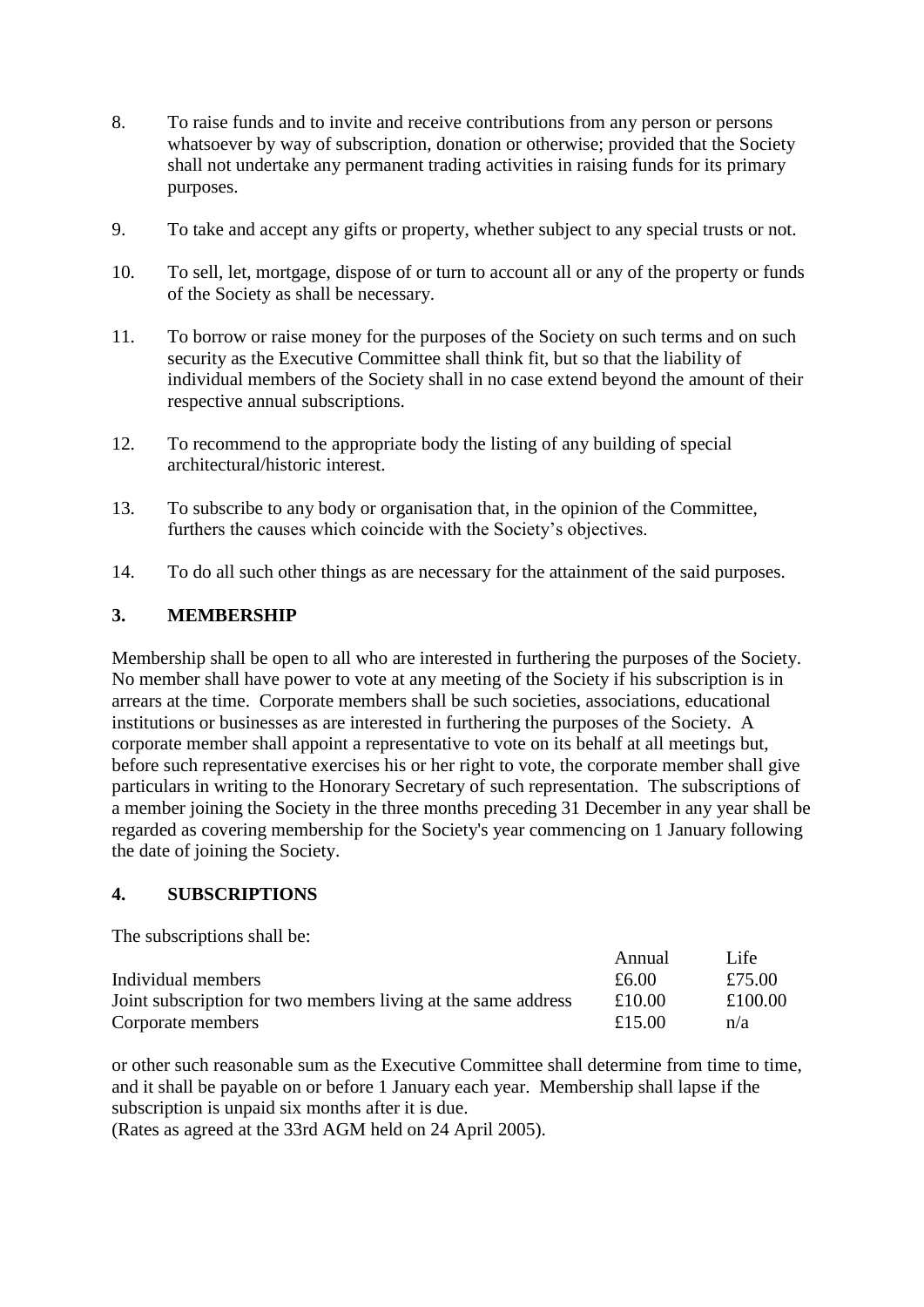- 8. To raise funds and to invite and receive contributions from any person or persons whatsoever by way of subscription, donation or otherwise; provided that the Society shall not undertake any permanent trading activities in raising funds for its primary purposes.
- 9. To take and accept any gifts or property, whether subject to any special trusts or not.
- 10. To sell, let, mortgage, dispose of or turn to account all or any of the property or funds of the Society as shall be necessary.
- 11. To borrow or raise money for the purposes of the Society on such terms and on such security as the Executive Committee shall think fit, but so that the liability of individual members of the Society shall in no case extend beyond the amount of their respective annual subscriptions.
- 12. To recommend to the appropriate body the listing of any building of special architectural/historic interest.
- 13. To subscribe to any body or organisation that, in the opinion of the Committee, furthers the causes which coincide with the Society's objectives.
- 14. To do all such other things as are necessary for the attainment of the said purposes.

#### **3. MEMBERSHIP**

Membership shall be open to all who are interested in furthering the purposes of the Society. No member shall have power to vote at any meeting of the Society if his subscription is in arrears at the time. Corporate members shall be such societies, associations, educational institutions or businesses as are interested in furthering the purposes of the Society. A corporate member shall appoint a representative to vote on its behalf at all meetings but, before such representative exercises his or her right to vote, the corporate member shall give particulars in writing to the Honorary Secretary of such representation. The subscriptions of a member joining the Society in the three months preceding 31 December in any year shall be regarded as covering membership for the Society's year commencing on 1 January following the date of joining the Society.

#### **4. SUBSCRIPTIONS**

The subscriptions shall be:

|                                                               | Annual | Life    |
|---------------------------------------------------------------|--------|---------|
| Individual members                                            | £6.00  | £75.00  |
| Joint subscription for two members living at the same address | £10.00 | £100.00 |
| Corporate members                                             | £15.00 | n/a     |

or other such reasonable sum as the Executive Committee shall determine from time to time, and it shall be payable on or before 1 January each year. Membership shall lapse if the subscription is unpaid six months after it is due.

(Rates as agreed at the 33rd AGM held on 24 April 2005).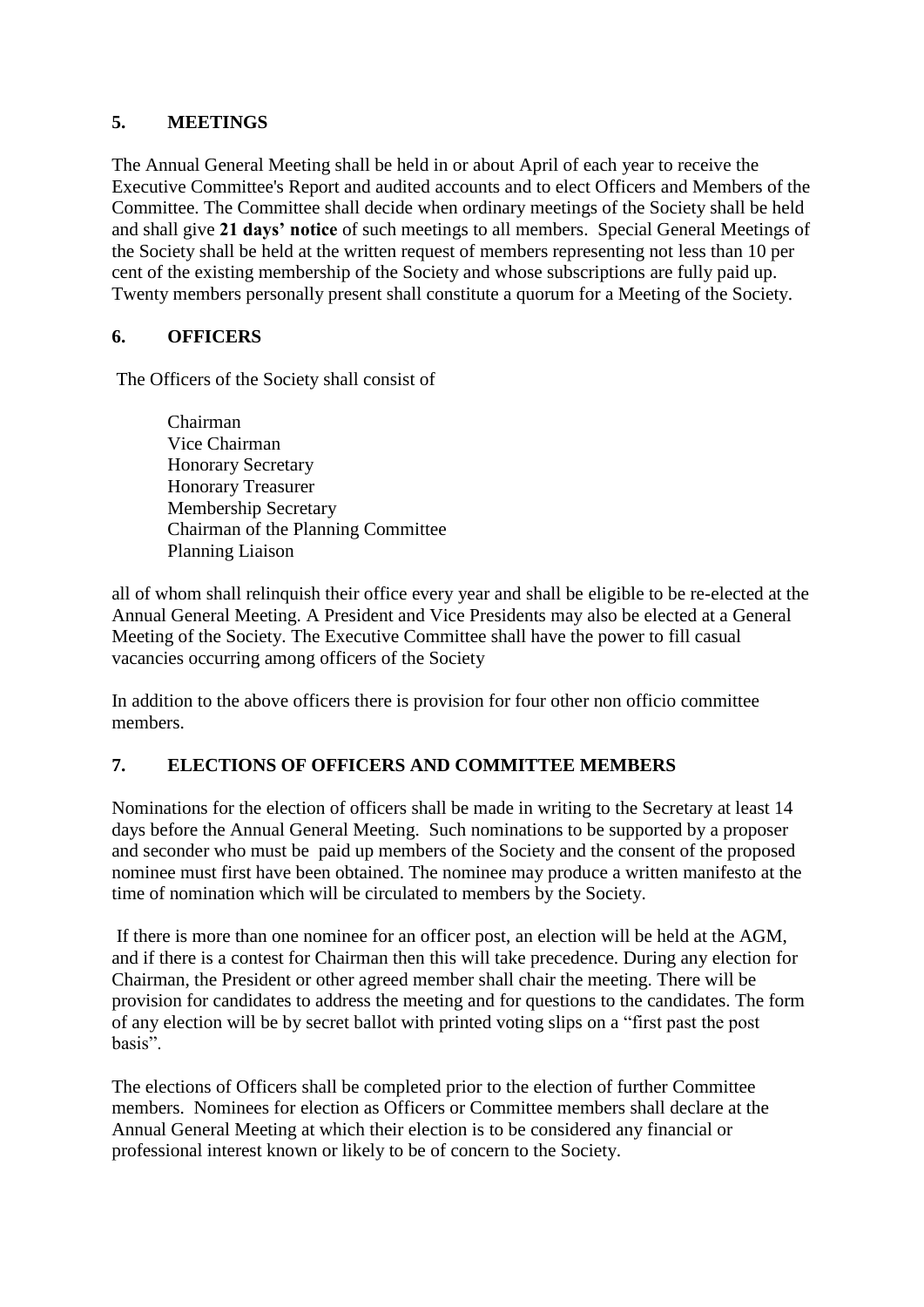### **5. MEETINGS**

The Annual General Meeting shall be held in or about April of each year to receive the Executive Committee's Report and audited accounts and to elect Officers and Members of the Committee. The Committee shall decide when ordinary meetings of the Society shall be held and shall give **21 days' notice** of such meetings to all members. Special General Meetings of the Society shall be held at the written request of members representing not less than 10 per cent of the existing membership of the Society and whose subscriptions are fully paid up. Twenty members personally present shall constitute a quorum for a Meeting of the Society.

# **6. OFFICERS**

The Officers of the Society shall consist of

Chairman Vice Chairman Honorary Secretary Honorary Treasurer Membership Secretary Chairman of the Planning Committee Planning Liaison

all of whom shall relinquish their office every year and shall be eligible to be re-elected at the Annual General Meeting. A President and Vice Presidents may also be elected at a General Meeting of the Society. The Executive Committee shall have the power to fill casual vacancies occurring among officers of the Society

In addition to the above officers there is provision for four other non officio committee members.

### **7. ELECTIONS OF OFFICERS AND COMMITTEE MEMBERS**

Nominations for the election of officers shall be made in writing to the Secretary at least 14 days before the Annual General Meeting. Such nominations to be supported by a proposer and seconder who must be paid up members of the Society and the consent of the proposed nominee must first have been obtained. The nominee may produce a written manifesto at the time of nomination which will be circulated to members by the Society.

If there is more than one nominee for an officer post, an election will be held at the AGM, and if there is a contest for Chairman then this will take precedence. During any election for Chairman, the President or other agreed member shall chair the meeting. There will be provision for candidates to address the meeting and for questions to the candidates. The form of any election will be by secret ballot with printed voting slips on a "first past the post basis".

The elections of Officers shall be completed prior to the election of further Committee members. Nominees for election as Officers or Committee members shall declare at the Annual General Meeting at which their election is to be considered any financial or professional interest known or likely to be of concern to the Society.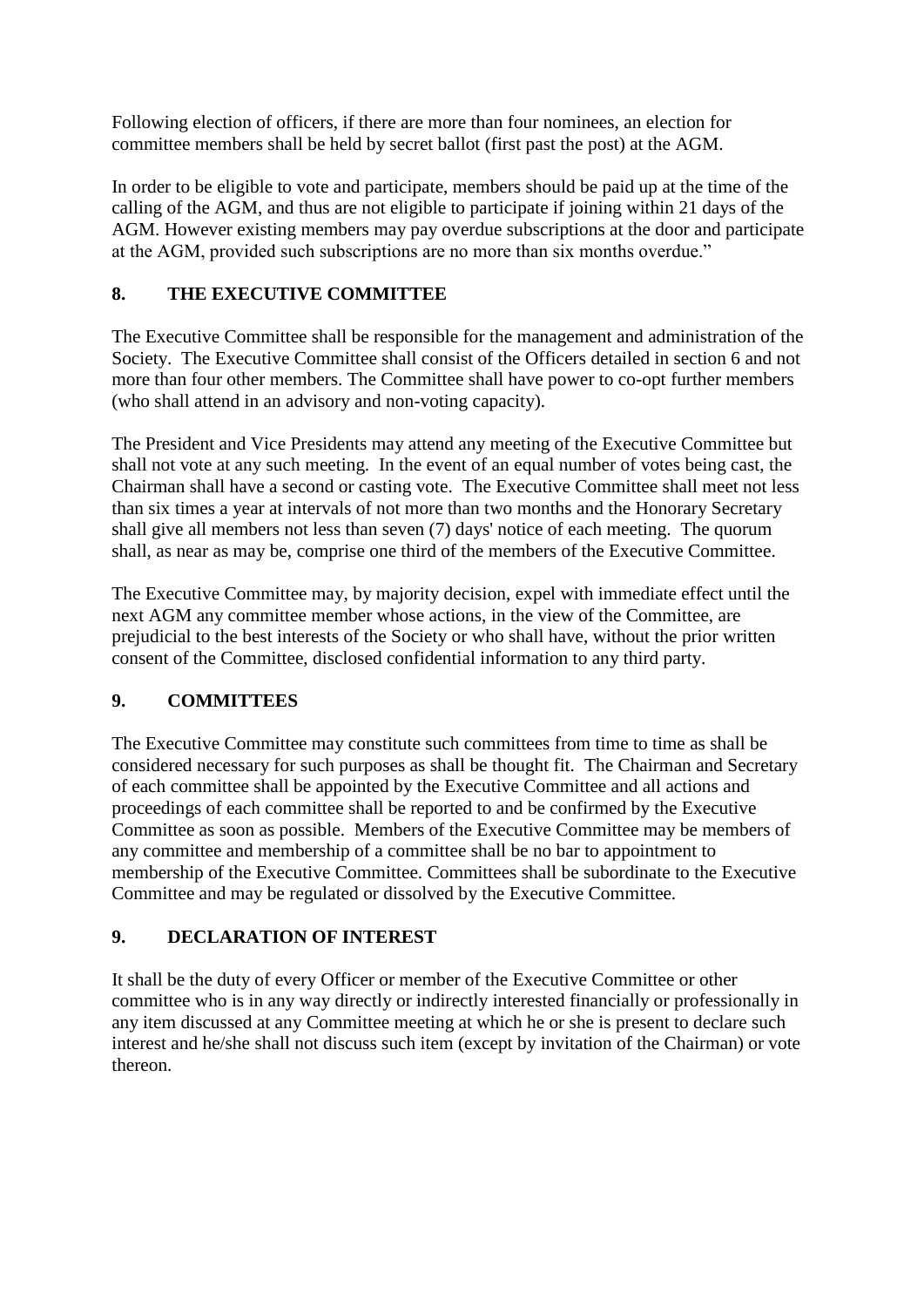Following election of officers, if there are more than four nominees, an election for committee members shall be held by secret ballot (first past the post) at the AGM.

In order to be eligible to vote and participate, members should be paid up at the time of the calling of the AGM, and thus are not eligible to participate if joining within 21 days of the AGM. However existing members may pay overdue subscriptions at the door and participate at the AGM, provided such subscriptions are no more than six months overdue."

# **8. THE EXECUTIVE COMMITTEE**

The Executive Committee shall be responsible for the management and administration of the Society. The Executive Committee shall consist of the Officers detailed in section 6 and not more than four other members. The Committee shall have power to co-opt further members (who shall attend in an advisory and non-voting capacity).

The President and Vice Presidents may attend any meeting of the Executive Committee but shall not vote at any such meeting. In the event of an equal number of votes being cast, the Chairman shall have a second or casting vote. The Executive Committee shall meet not less than six times a year at intervals of not more than two months and the Honorary Secretary shall give all members not less than seven (7) days' notice of each meeting. The quorum shall, as near as may be, comprise one third of the members of the Executive Committee.

The Executive Committee may, by majority decision, expel with immediate effect until the next AGM any committee member whose actions, in the view of the Committee, are prejudicial to the best interests of the Society or who shall have, without the prior written consent of the Committee, disclosed confidential information to any third party.

# **9. COMMITTEES**

The Executive Committee may constitute such committees from time to time as shall be considered necessary for such purposes as shall be thought fit. The Chairman and Secretary of each committee shall be appointed by the Executive Committee and all actions and proceedings of each committee shall be reported to and be confirmed by the Executive Committee as soon as possible. Members of the Executive Committee may be members of any committee and membership of a committee shall be no bar to appointment to membership of the Executive Committee. Committees shall be subordinate to the Executive Committee and may be regulated or dissolved by the Executive Committee.

# **9. DECLARATION OF INTEREST**

It shall be the duty of every Officer or member of the Executive Committee or other committee who is in any way directly or indirectly interested financially or professionally in any item discussed at any Committee meeting at which he or she is present to declare such interest and he/she shall not discuss such item (except by invitation of the Chairman) or vote thereon.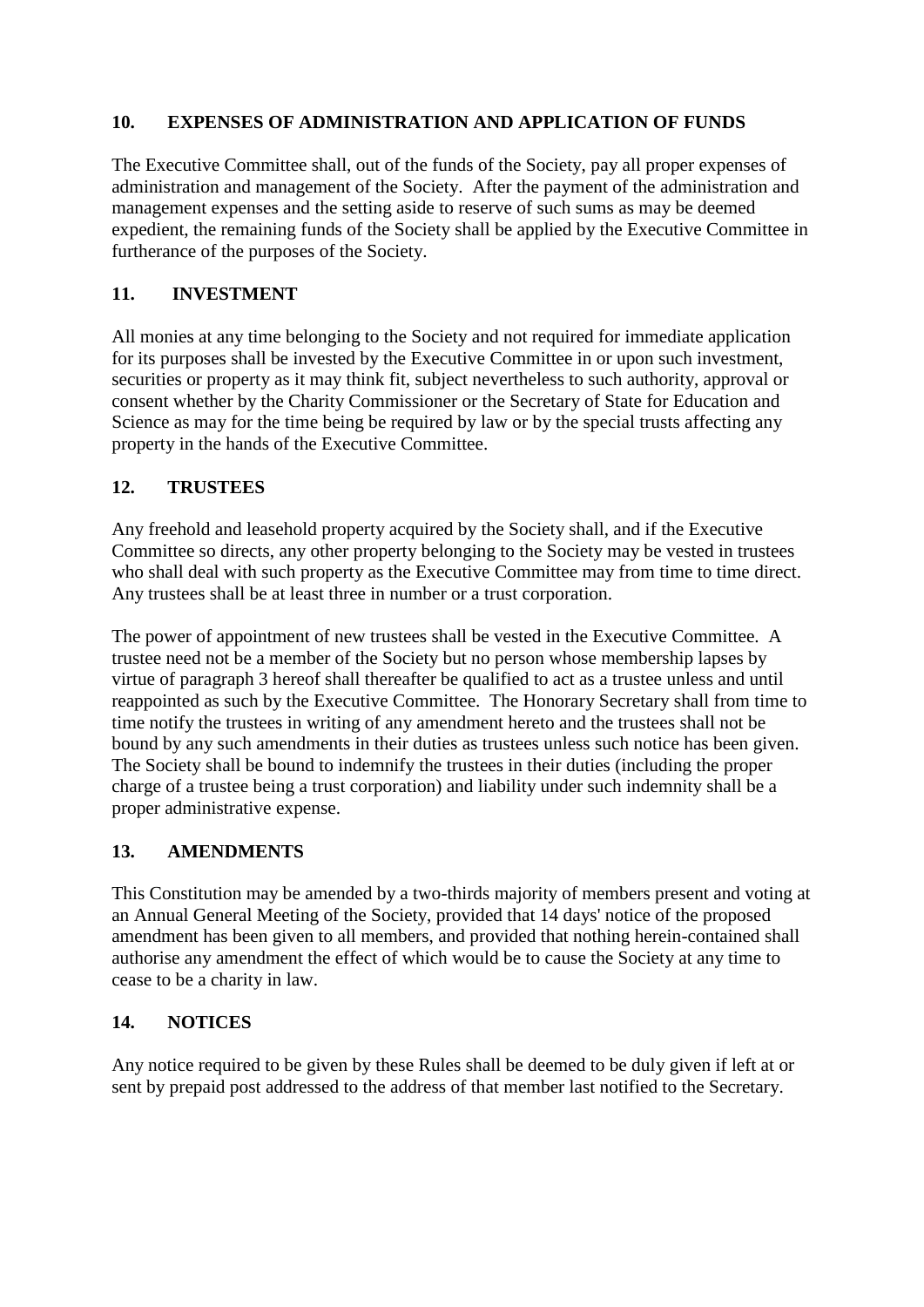### **10. EXPENSES OF ADMINISTRATION AND APPLICATION OF FUNDS**

The Executive Committee shall, out of the funds of the Society, pay all proper expenses of administration and management of the Society. After the payment of the administration and management expenses and the setting aside to reserve of such sums as may be deemed expedient, the remaining funds of the Society shall be applied by the Executive Committee in furtherance of the purposes of the Society.

### **11. INVESTMENT**

All monies at any time belonging to the Society and not required for immediate application for its purposes shall be invested by the Executive Committee in or upon such investment, securities or property as it may think fit, subject nevertheless to such authority, approval or consent whether by the Charity Commissioner or the Secretary of State for Education and Science as may for the time being be required by law or by the special trusts affecting any property in the hands of the Executive Committee.

# **12. TRUSTEES**

Any freehold and leasehold property acquired by the Society shall, and if the Executive Committee so directs, any other property belonging to the Society may be vested in trustees who shall deal with such property as the Executive Committee may from time to time direct. Any trustees shall be at least three in number or a trust corporation.

The power of appointment of new trustees shall be vested in the Executive Committee. A trustee need not be a member of the Society but no person whose membership lapses by virtue of paragraph 3 hereof shall thereafter be qualified to act as a trustee unless and until reappointed as such by the Executive Committee. The Honorary Secretary shall from time to time notify the trustees in writing of any amendment hereto and the trustees shall not be bound by any such amendments in their duties as trustees unless such notice has been given. The Society shall be bound to indemnify the trustees in their duties (including the proper charge of a trustee being a trust corporation) and liability under such indemnity shall be a proper administrative expense.

### **13. AMENDMENTS**

This Constitution may be amended by a two-thirds majority of members present and voting at an Annual General Meeting of the Society, provided that 14 days' notice of the proposed amendment has been given to all members, and provided that nothing herein-contained shall authorise any amendment the effect of which would be to cause the Society at any time to cease to be a charity in law.

### **14. NOTICES**

Any notice required to be given by these Rules shall be deemed to be duly given if left at or sent by prepaid post addressed to the address of that member last notified to the Secretary.